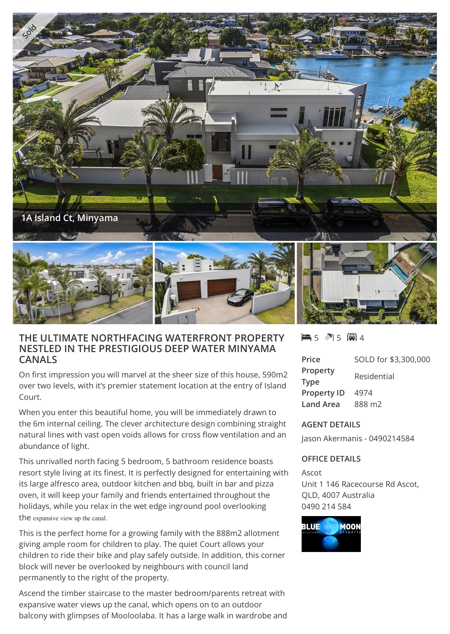

## **THE ULTIMATE NORTHFACING WATERFRONT PROPERTY NESTLED IN THE PRESTIGIOUS DEEP WATER MINYAMA CANALS**

On first impression you will marvel at the sheer size of this house, 590m2 over two levels, with it's premier statement location at the entry of Island Court.

When you enter this beautiful home, you will be immediately drawn to the 6m internal ceiling. The clever architecture design combining straight natural lines with vast open voids allows for cross flow ventilation and an abundance of light.

This unrivalled north facing 5 bedroom, 5 bathroom residence boasts resort style living at its finest. It is perfectly designed for entertaining with its large alfresco area, outdoor kitchen and bbq, built in bar and pizza oven, it will keep your family and friends entertained throughout the holidays, while you relax in the wet edge inground pool overlooking the expansive view up the canal.

This is the perfect home for a growing family with the 888m2 allotment giving ample room for children to play. The quiet Court allows your children to ride their bike and play safely outside. In addition, this corner block will never be overlooked by neighbours with council land permanently to the right of the property.

Ascend the timber staircase to the master bedroom/parents retreat with expansive water views up the canal, which opens on to an outdoor balcony with glimpses of Mooloolaba. It has a large walk in wardrobe and 5 5 4

| Price              | SOLD for \$3,300,000 |
|--------------------|----------------------|
| Property           | Residential          |
| <b>Type</b>        |                      |
| <b>Property ID</b> | 4974                 |
| <b>Land Area</b>   | 888 m <sub>2</sub>   |

## **AGENT DETAILS**

Jason Akermanis - 0490214584

## **OFFICE DETAILS**

Ascot Unit 1 146 Racecourse Rd Ascot, QLD, 4007 Australia 0490 214 584